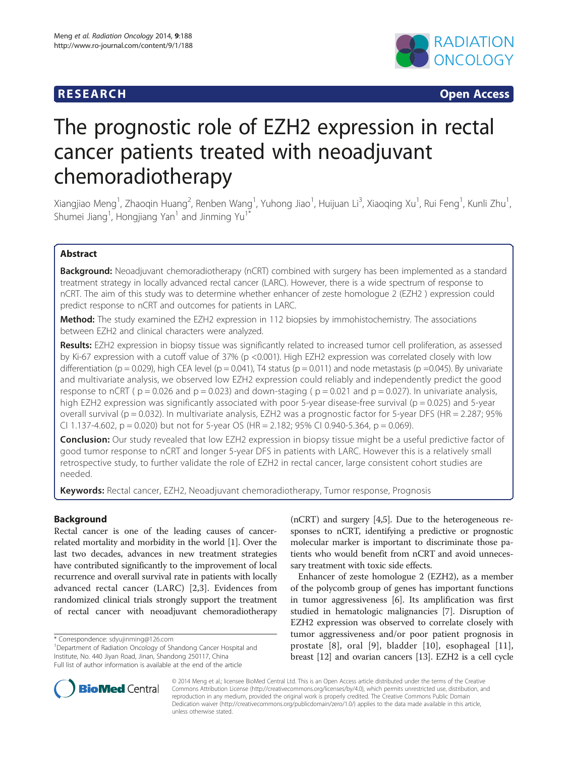## **RESEARCH CHINESE ARCH CHINESE ARCH CHINESE ARCH**



# The prognostic role of EZH2 expression in rectal cancer patients treated with neoadjuvant chemoradiotherapy

Xiangjiao Meng<sup>1</sup>, Zhaoqin Huang<sup>2</sup>, Renben Wang<sup>1</sup>, Yuhong Jiao<sup>1</sup>, Huijuan Li<sup>3</sup>, Xiaoqing Xu<sup>1</sup>, Rui Feng<sup>1</sup>, Kunli Zhu<sup>1</sup> , Shumei Jiang<sup>1</sup>, Hongjiang Yan<sup>1</sup> and Jinming Yu<sup>1\*</sup>

## Abstract

Background: Neoadjuvant chemoradiotherapy (nCRT) combined with surgery has been implemented as a standard treatment strategy in locally advanced rectal cancer (LARC). However, there is a wide spectrum of response to nCRT. The aim of this study was to determine whether enhancer of zeste homologue 2 (EZH2 ) expression could predict response to nCRT and outcomes for patients in LARC.

**Method:** The study examined the EZH2 expression in 112 biopsies by immohistochemistry. The associations between EZH2 and clinical characters were analyzed.

Results: EZH2 expression in biopsy tissue was significantly related to increased tumor cell proliferation, as assessed by Ki-67 expression with a cutoff value of 37% (p <0.001). High EZH2 expression was correlated closely with low differentiation (p = 0.029), high CEA level (p = 0.041), T4 status (p = 0.011) and node metastasis (p = 0.045). By univariate and multivariate analysis, we observed low EZH2 expression could reliably and independently predict the good response to nCRT ( $p = 0.026$  and  $p = 0.023$ ) and down-staging ( $p = 0.021$  and  $p = 0.027$ ). In univariate analysis, high EZH2 expression was significantly associated with poor 5-year disease-free survival (p = 0.025) and 5-year overall survival (p = 0.032). In multivariate analysis, EZH2 was a prognostic factor for 5-year DFS (HR = 2.287; 95% CI 1.137-4.602,  $p = 0.020$ ) but not for 5-year OS (HR = 2.182; 95% CI 0.940-5.364,  $p = 0.069$ ).

Conclusion: Our study revealed that low EZH2 expression in biopsy tissue might be a useful predictive factor of good tumor response to nCRT and longer 5-year DFS in patients with LARC. However this is a relatively small retrospective study, to further validate the role of EZH2 in rectal cancer, large consistent cohort studies are needed.

Keywords: Rectal cancer, EZH2, Neoadjuvant chemoradiotherapy, Tumor response, Prognosis

## Background

Rectal cancer is one of the leading causes of cancerrelated mortality and morbidity in the world [\[1\]](#page-6-0). Over the last two decades, advances in new treatment strategies have contributed significantly to the improvement of local recurrence and overall survival rate in patients with locally advanced rectal cancer (LARC) [[2,3](#page-6-0)]. Evidences from randomized clinical trials strongly support the treatment of rectal cancer with neoadjuvant chemoradiotherapy

<sup>1</sup>Department of Radiation Oncology of Shandong Cancer Hospital and Institute, No. 440 Jiyan Road, Jinan, Shandong 250117, China Full list of author information is available at the end of the article

(nCRT) and surgery [\[4,5](#page-6-0)]. Due to the heterogeneous responses to nCRT, identifying a predictive or prognostic molecular marker is important to discriminate those patients who would benefit from nCRT and avoid unnecessary treatment with toxic side effects.

Enhancer of zeste homologue 2 (EZH2), as a member of the polycomb group of genes has important functions in tumor aggressiveness [\[6](#page-6-0)]. Its amplification was first studied in hematologic malignancies [[7\]](#page-6-0). Disruption of EZH2 expression was observed to correlate closely with tumor aggressiveness and/or poor patient prognosis in prostate [[8](#page-6-0)], oral [[9\]](#page-7-0), bladder [[10\]](#page-7-0), esophageal [[11](#page-7-0)], breast [\[12\]](#page-7-0) and ovarian cancers [\[13\]](#page-7-0). EZH2 is a cell cycle



© 2014 Meng et al.; licensee BioMed Central Ltd. This is an Open Access article distributed under the terms of the Creative Commons Attribution License [\(http://creativecommons.org/licenses/by/4.0\)](http://creativecommons.org/licenses/by/4.0), which permits unrestricted use, distribution, and reproduction in any medium, provided the original work is properly credited. The Creative Commons Public Domain Dedication waiver [\(http://creativecommons.org/publicdomain/zero/1.0/](http://creativecommons.org/publicdomain/zero/1.0/)) applies to the data made available in this article, unless otherwise stated.

<sup>\*</sup> Correspondence: [sdyujinming@126.com](mailto:sdyujinming@126.com) <sup>1</sup>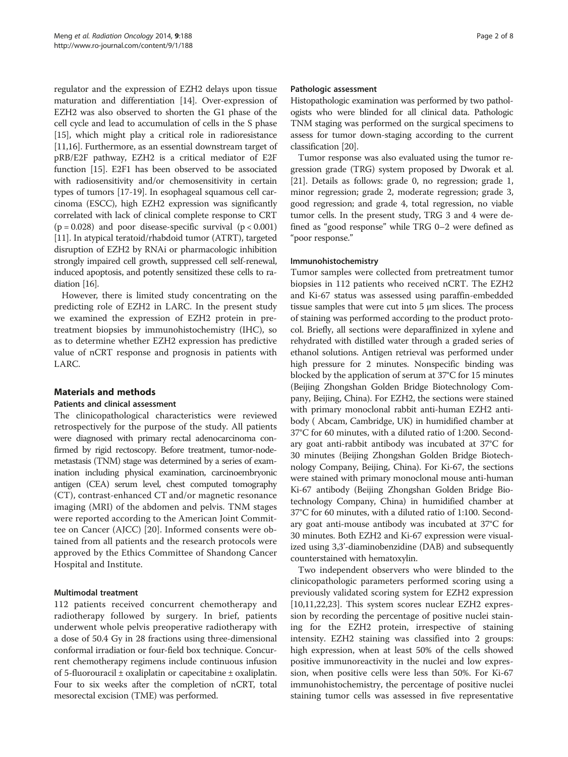regulator and the expression of EZH2 delays upon tissue maturation and differentiation [[14](#page-7-0)]. Over-expression of EZH2 was also observed to shorten the G1 phase of the cell cycle and lead to accumulation of cells in the S phase [[15](#page-7-0)], which might play a critical role in radioresistance [[11,16](#page-7-0)]. Furthermore, as an essential downstream target of pRB/E2F pathway, EZH2 is a critical mediator of E2F function [[15](#page-7-0)]. E2F1 has been observed to be associated with radiosensitivity and/or chemosensitivity in certain types of tumors [\[17-19\]](#page-7-0). In esophageal squamous cell carcinoma (ESCC), high EZH2 expression was significantly correlated with lack of clinical complete response to CRT  $(p = 0.028)$  and poor disease-specific survival  $(p < 0.001)$ [[11](#page-7-0)]. In atypical teratoid/rhabdoid tumor (ATRT), targeted disruption of EZH2 by RNAi or pharmacologic inhibition strongly impaired cell growth, suppressed cell self-renewal, induced apoptosis, and potently sensitized these cells to radiation [\[16\]](#page-7-0).

However, there is limited study concentrating on the predicting role of EZH2 in LARC. In the present study we examined the expression of EZH2 protein in pretreatment biopsies by immunohistochemistry (IHC), so as to determine whether EZH2 expression has predictive value of nCRT response and prognosis in patients with LARC.

## Materials and methods

## Patients and clinical assessment

The clinicopathological characteristics were reviewed retrospectively for the purpose of the study. All patients were diagnosed with primary rectal adenocarcinoma confirmed by rigid rectoscopy. Before treatment, tumor-nodemetastasis (TNM) stage was determined by a series of examination including physical examination, carcinoembryonic antigen (CEA) serum level, chest computed tomography (CT), contrast-enhanced CT and/or magnetic resonance imaging (MRI) of the abdomen and pelvis. TNM stages were reported according to the American Joint Committee on Cancer (AJCC) [\[20](#page-7-0)]. Informed consents were obtained from all patients and the research protocols were approved by the Ethics Committee of Shandong Cancer Hospital and Institute.

## Multimodal treatment

112 patients received concurrent chemotherapy and radiotherapy followed by surgery. In brief, patients underwent whole pelvis preoperative radiotherapy with a dose of 50.4 Gy in 28 fractions using three-dimensional conformal irradiation or four-field box technique. Concurrent chemotherapy regimens include continuous infusion of 5-fluorouracil  $\pm$  oxaliplatin or capecitabine  $\pm$  oxaliplatin. Four to six weeks after the completion of nCRT, total mesorectal excision (TME) was performed.

#### Pathologic assessment

Histopathologic examination was performed by two pathologists who were blinded for all clinical data. Pathologic TNM staging was performed on the surgical specimens to assess for tumor down-staging according to the current classification [\[20\]](#page-7-0).

Tumor response was also evaluated using the tumor regression grade (TRG) system proposed by Dworak et al. [[21](#page-7-0)]. Details as follows: grade 0, no regression; grade 1, minor regression; grade 2, moderate regression; grade 3, good regression; and grade 4, total regression, no viable tumor cells. In the present study, TRG 3 and 4 were defined as "good response" while TRG 0–2 were defined as "poor response."

#### Immunohistochemistry

Tumor samples were collected from pretreatment tumor biopsies in 112 patients who received nCRT. The EZH2 and Ki-67 status was assessed using paraffin-embedded tissue samples that were cut into  $5 \mu m$  slices. The process of staining was performed according to the product protocol. Briefly, all sections were deparaffinized in xylene and rehydrated with distilled water through a graded series of ethanol solutions. Antigen retrieval was performed under high pressure for 2 minutes. Nonspecific binding was blocked by the application of serum at 37°C for 15 minutes (Beijing Zhongshan Golden Bridge Biotechnology Company, Beijing, China). For EZH2, the sections were stained with primary monoclonal rabbit anti-human EZH2 antibody ( Abcam, Cambridge, UK) in humidified chamber at 37°C for 60 minutes, with a diluted ratio of 1:200. Secondary goat anti-rabbit antibody was incubated at 37°C for 30 minutes (Beijing Zhongshan Golden Bridge Biotechnology Company, Beijing, China). For Ki-67, the sections were stained with primary monoclonal mouse anti-human Ki-67 antibody (Beijing Zhongshan Golden Bridge Biotechnology Company, China) in humidified chamber at 37°C for 60 minutes, with a diluted ratio of 1:100. Secondary goat anti-mouse antibody was incubated at 37°C for 30 minutes. Both EZH2 and Ki-67 expression were visualized using 3,3'-diaminobenzidine (DAB) and subsequently counterstained with hematoxylin.

Two independent observers who were blinded to the clinicopathologic parameters performed scoring using a previously validated scoring system for EZH2 expression [[10,11,22,23\]](#page-7-0). This system scores nuclear EZH2 expression by recording the percentage of positive nuclei staining for the EZH2 protein, irrespective of staining intensity. EZH2 staining was classified into 2 groups: high expression, when at least 50% of the cells showed positive immunoreactivity in the nuclei and low expression, when positive cells were less than 50%. For Ki-67 immunohistochemistry, the percentage of positive nuclei staining tumor cells was assessed in five representative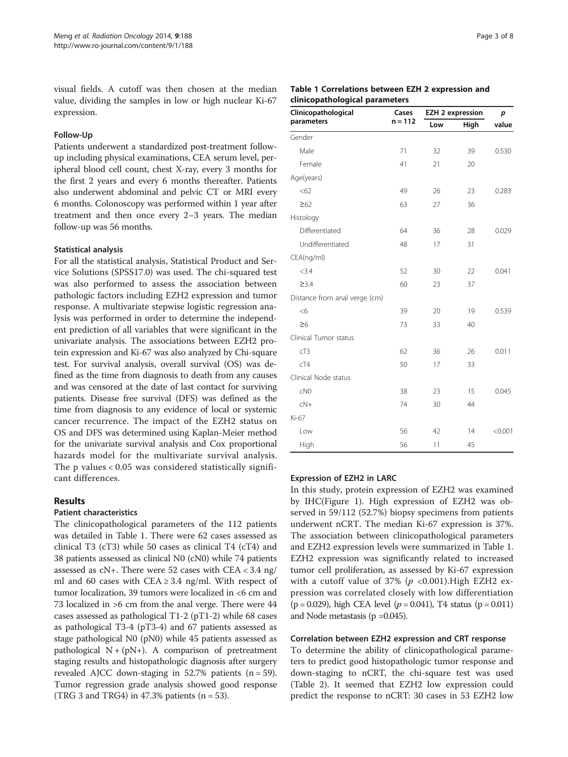visual fields. A cutoff was then chosen at the median value, dividing the samples in low or high nuclear Ki-67 expression.

#### Follow-Up

Patients underwent a standardized post-treatment followup including physical examinations, CEA serum level, peripheral blood cell count, chest X-ray, every 3 months for the first 2 years and every 6 months thereafter. Patients also underwent abdominal and pelvic CT or MRI every 6 months. Colonoscopy was performed within 1 year after treatment and then once every 2–3 years. The median follow-up was 56 months.

#### Statistical analysis

For all the statistical analysis, Statistical Product and Service Solutions (SPSS17.0) was used. The chi-squared test was also performed to assess the association between pathologic factors including EZH2 expression and tumor response. A multivariate stepwise logistic regression analysis was performed in order to determine the independent prediction of all variables that were significant in the univariate analysis. The associations between EZH2 protein expression and Ki-67 was also analyzed by Chi-square test. For survival analysis, overall survival (OS) was defined as the time from diagnosis to death from any causes and was censored at the date of last contact for surviving patients. Disease free survival (DFS) was defined as the time from diagnosis to any evidence of local or systemic cancer recurrence. The impact of the EZH2 status on OS and DFS was determined using Kaplan-Meier method for the univariate survival analysis and Cox proportional hazards model for the multivariate survival analysis. The p values < 0.05 was considered statistically significant differences.

## Results

## Patient characteristics

The clinicopathological parameters of the 112 patients was detailed in Table 1. There were 62 cases assessed as clinical T3 ( $cT3$ ) while 50 cases as clinical T4 ( $cT4$ ) and 38 patients assessed as clinical N0 (cN0) while 74 patients assessed as  $cN<sub>+</sub>$ . There were 52 cases with  $CEA < 3.4$  ng/ ml and 60 cases with  $CEA \geq 3.4$  ng/ml. With respect of tumor localization, 39 tumors were localized in <6 cm and 73 localized in >6 cm from the anal verge. There were 44 cases assessed as pathological T1-2 (pT1-2) while 68 cases as pathological T3-4 (pT3-4) and 67 patients assessed as stage pathological N0 (pN0) while 45 patients assessed as pathological  $N + (pN+)$ . A comparison of pretreatment staging results and histopathologic diagnosis after surgery revealed AJCC down-staging in  $52.7\%$  patients (n = 59). Tumor regression grade analysis showed good response (TRG 3 and TRG4) in 47.3% patients  $(n = 53)$ .

#### Table 1 Correlations between EZH 2 expression and clinicopathological parameters

| Clinicopathological           | Cases     | <b>EZH 2 expression</b> | p    |         |
|-------------------------------|-----------|-------------------------|------|---------|
| parameters                    | $n = 112$ | Low                     | High | value   |
| Gender                        |           |                         |      |         |
| Male                          | 71        | 32                      | 39   | 0.530   |
| Female                        | 41        | 21                      | 20   |         |
| Age(years)                    |           |                         |      |         |
| <62                           | 49        | 26                      | 23   | 0.283   |
| $\geq 62$                     | 63        | 27                      | 36   |         |
| Histology                     |           |                         |      |         |
| Differentiated                | 64        | 36                      | 28   | 0.029   |
| Undifferentiated              | 48        | 17                      | 31   |         |
| CEA(ng/ml)                    |           |                         |      |         |
| < 3.4                         | 52        | 30                      | 22   | 0.041   |
| $\geq$ 3.4                    | 60        | 23                      | 37   |         |
| Distance from anal verge (cm) |           |                         |      |         |
| <6                            | 39        | 20                      | 19   | 0.539   |
| $\geq 6$                      | 73        | 33                      | 40   |         |
| Clinical Tumor status         |           |                         |      |         |
| cT3                           | 62        | 36                      | 26   | 0.011   |
| cT4                           | 50        | 17                      | 33   |         |
| Clinical Node status          |           |                         |      |         |
| CNO                           | 38        | 23                      | 15   | 0.045   |
| $cN+$                         | 74        | 30                      | 44   |         |
| Ki-67                         |           |                         |      |         |
| Low                           | 56        | 42                      | 14   | < 0.001 |
| High                          | 56        | 11                      | 45   |         |

#### Expression of EZH2 in LARC

In this study, protein expression of EZH2 was examined by IHC(Figure [1](#page-3-0)). High expression of EZH2 was observed in 59/112 (52.7%) biopsy specimens from patients underwent nCRT. The median Ki-67 expression is 37%. The association between clinicopathological parameters and EZH2 expression levels were summarized in Table 1. EZH2 expression was significantly related to increased tumor cell proliferation, as assessed by Ki-67 expression with a cutoff value of 37% ( $p < 0.001$ ). High EZH2 expression was correlated closely with low differentiation  $(p = 0.029)$ , high CEA level  $(p = 0.041)$ , T4 status  $(p = 0.011)$ and Node metastasis (p =0.045).

#### Correlation between EZH2 expression and CRT response

To determine the ability of clinicopathological parameters to predict good histopathologic tumor response and down-staging to nCRT, the chi-square test was used (Table [2](#page-3-0)). It seemed that EZH2 low expression could predict the response to nCRT: 30 cases in 53 EZH2 low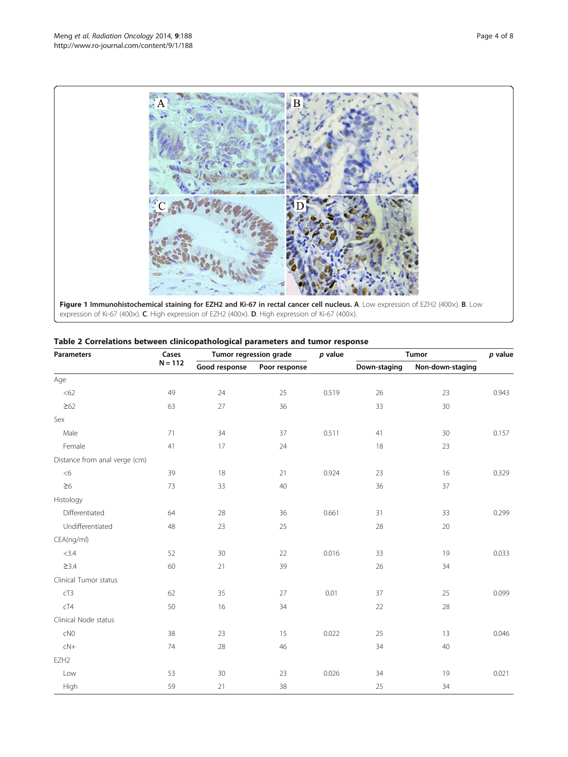<span id="page-3-0"></span>

| <b>Parameters</b>                | Cases     | Tumor regression grade |               | $p$ value | <b>Tumor</b> |                  | $p$ value |
|----------------------------------|-----------|------------------------|---------------|-----------|--------------|------------------|-----------|
|                                  | $N = 112$ | Good response          | Poor response |           | Down-staging | Non-down-staging |           |
| Age                              |           |                        |               |           |              |                  |           |
| < 62                             | 49        | 24                     | 25            | 0.519     | 26           | 23               | 0.943     |
| $\geq 62$                        | 63        | 27                     | 36            |           | 33           | 30               |           |
| Sex                              |           |                        |               |           |              |                  |           |
| Male                             | 71        | 34                     | 37            | 0.511     | 41           | 30               | 0.157     |
| Female                           | 41        | 17                     | 24            |           | 18           | 23               |           |
| Distance from anal verge (cm)    |           |                        |               |           |              |                  |           |
| $<\!6$                           | 39        | 18                     | 21            | 0.924     | 23           | 16               | 0.329     |
| $\geq 6$                         | 73        | 33                     | 40            |           | 36           | 37               |           |
| Histology                        |           |                        |               |           |              |                  |           |
| Differentiated                   | 64        | 28                     | 36            | 0.661     | 31           | 33               | 0.299     |
| Undifferentiated                 | 48        | 23                     | 25            |           | 28           | $20\,$           |           |
| CEA(ng/ml)                       |           |                        |               |           |              |                  |           |
| < 3.4                            | 52        | 30 <sup>°</sup>        | 22            | 0.016     | 33           | 19               | 0.033     |
| $\geq$ 3.4                       | 60        | 21                     | 39            |           | 26           | 34               |           |
| Clinical Tumor status            |           |                        |               |           |              |                  |           |
| cT3                              | 62        | 35                     | 27            | 0.01      | 37           | 25               | 0.099     |
| cT4                              | 50        | 16                     | 34            |           | 22           | 28               |           |
| Clinical Node status             |           |                        |               |           |              |                  |           |
| $\mathsf{C}\mathsf{N}\mathsf{O}$ | 38        | 23                     | 15            | 0.022     | 25           | 13               | 0.046     |
| $cN+$                            | 74        | 28                     | 46            |           | 34           | 40               |           |
| EZH <sub>2</sub>                 |           |                        |               |           |              |                  |           |
| Low                              | 53        | 30                     | 23            | 0.026     | 34           | 19               | 0.021     |
| High                             | 59        | 21                     | 38            |           | 25           | 34               |           |

## Table 2 Correlations between clinicopathological parameters and tumor response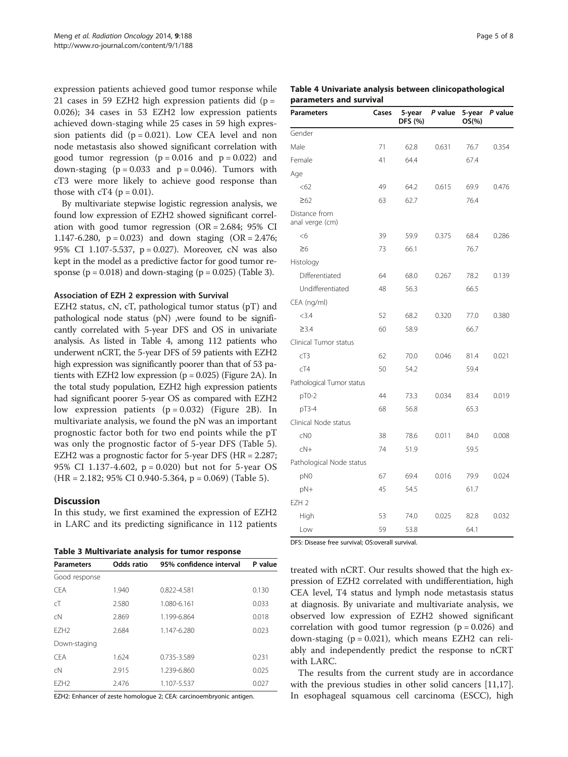expression patients achieved good tumor response while 21 cases in 59 EZH2 high expression patients did  $(p =$ 0.026); 34 cases in 53 EZH2 low expression patients achieved down-staging while 25 cases in 59 high expression patients did  $(p = 0.021)$ . Low CEA level and non node metastasis also showed significant correlation with good tumor regression  $(p = 0.016$  and  $p = 0.022)$  and down-staging  $(p = 0.033$  and  $p = 0.046$ ). Tumors with cT3 were more likely to achieve good response than those with  $cT4$  ( $p = 0.01$ ).

By multivariate stepwise logistic regression analysis, we found low expression of EZH2 showed significant correlation with good tumor regression (OR = 2.684; 95% CI 1.147-6.280,  $p = 0.023$ ) and down staging (OR = 2.476; 95% CI 1.107-5.537, p = 0.027). Moreover, cN was also kept in the model as a predictive factor for good tumor response ( $p = 0.018$ ) and down-staging ( $p = 0.025$ ) (Table 3).

#### Association of EZH 2 expression with Survival

EZH2 status, cN, cT, pathological tumor status (pT) and pathological node status (pN) ,were found to be significantly correlated with 5-year DFS and OS in univariate analysis. As listed in Table 4, among 112 patients who underwent nCRT, the 5-year DFS of 59 patients with EZH2 high expression was significantly poorer than that of 53 patients with EZH2 low expression  $(p = 0.025)$  (Figure [2A](#page-5-0)). In the total study population, EZH2 high expression patients had significant poorer 5-year OS as compared with EZH2 low expression patients  $(p = 0.032)$  (Figure [2](#page-5-0)B). In multivariate analysis, we found the pN was an important prognostic factor both for two end points while the pT was only the prognostic factor of 5-year DFS (Table [5](#page-5-0)). EZH2 was a prognostic factor for 5-year DFS (HR = 2.287; 95% CI 1.137-4.602, p = 0.020) but not for 5-year OS (HR = 2.182; 95% CI 0.940-5.364, p = 0.069) (Table [5\)](#page-5-0).

#### **Discussion**

In this study, we first examined the expression of EZH2 in LARC and its predicting significance in 112 patients

|  |  | Table 3 Multivariate analysis for tumor response |  |  |  |  |  |
|--|--|--------------------------------------------------|--|--|--|--|--|
|--|--|--------------------------------------------------|--|--|--|--|--|

| <b>Parameters</b> | Odds ratio | 95% confidence interval | P value |
|-------------------|------------|-------------------------|---------|
| Good response     |            |                         |         |
| <b>CFA</b>        | 1.940      | 0.822-4.581             | 0.130   |
| cT                | 2.580      | 1.080-6.161             | 0.033   |
| cN                | 2.869      | 1.199-6.864             | 0.018   |
| F7H <sub>2</sub>  | 2.684      | 1.147-6.280             | 0.023   |
| Down-staging      |            |                         |         |
| <b>CFA</b>        | 1.624      | 0.735-3.589             | 0.231   |
| cΝ                | 2.915      | 1.239-6.860             | 0.025   |
| F7H <sub>2</sub>  | 2.476      | 1.107-5.537             | 0.027   |

EZH2: Enhancer of zeste homologue 2; CEA: carcinoembryonic antigen.

|                         | Table 4 Univariate analysis between clinicopathological |
|-------------------------|---------------------------------------------------------|
| parameters and survival |                                                         |

| <b>Parameters</b>                | Cases | 5-year<br>DFS (%) | P value | 5-year<br>$OS(\% )$ | P value |
|----------------------------------|-------|-------------------|---------|---------------------|---------|
| Gender                           |       |                   |         |                     |         |
| Male                             | 71    | 62.8              | 0.631   | 76.7                | 0.354   |
| Female                           | 41    | 64.4              |         | 67.4                |         |
| Age                              |       |                   |         |                     |         |
| <62                              | 49    | 64.2              | 0.615   | 69.9                | 0.476   |
| $\geq 62$                        | 63    | 62.7              |         | 76.4                |         |
| Distance from<br>anal verge (cm) |       |                   |         |                     |         |
| <6                               | 39    | 59.9              | 0.375   | 68.4                | 0.286   |
| $\geq 6$                         | 73    | 66.1              |         | 76.7                |         |
| Histology                        |       |                   |         |                     |         |
| Differentiated                   | 64    | 68.0              | 0.267   | 78.2                | 0.139   |
| Undifferentiated                 | 48    | 56.3              |         | 66.5                |         |
| CEA (ng/ml)                      |       |                   |         |                     |         |
| < 3.4                            | 52    | 68.2              | 0.320   | 77.0                | 0.380   |
| $\geq$ 3.4                       | 60    | 58.9              |         | 66.7                |         |
| Clinical Tumor status            |       |                   |         |                     |         |
| cT3                              | 62    | 70.0              | 0.046   | 81.4                | 0.021   |
| cT4                              | 50    | 54.2              |         | 59.4                |         |
| Pathological Tumor status        |       |                   |         |                     |         |
| pT0-2                            | 44    | 73.3              | 0.034   | 83.4                | 0.019   |
| pT3-4                            | 68    | 56.8              |         | 65.3                |         |
| Clinical Node status             |       |                   |         |                     |         |
| CNO                              | 38    | 78.6              | 0.011   | 84.0                | 0.008   |
| $cN+$                            | 74    | 51.9              |         | 59.5                |         |
| Pathological Node status         |       |                   |         |                     |         |
| pN0                              | 67    | 69.4              | 0.016   | 79.9                | 0.024   |
| $pN+$                            | 45    | 54.5              |         | 61.7                |         |
| EZH <sub>2</sub>                 |       |                   |         |                     |         |
| High                             | 53    | 74.0              | 0.025   | 82.8                | 0.032   |
| Low                              | 59    | 53.8              |         | 64.1                |         |

DFS: Disease free survival; OS:overall survival.

treated with nCRT. Our results showed that the high expression of EZH2 correlated with undifferentiation, high CEA level, T4 status and lymph node metastasis status at diagnosis. By univariate and multivariate analysis, we observed low expression of EZH2 showed significant correlation with good tumor regression ( $p = 0.026$ ) and down-staging ( $p = 0.021$ ), which means EZH2 can reliably and independently predict the response to nCRT with LARC.

The results from the current study are in accordance with the previous studies in other solid cancers [\[11,17](#page-7-0)]. In esophageal squamous cell carcinoma (ESCC), high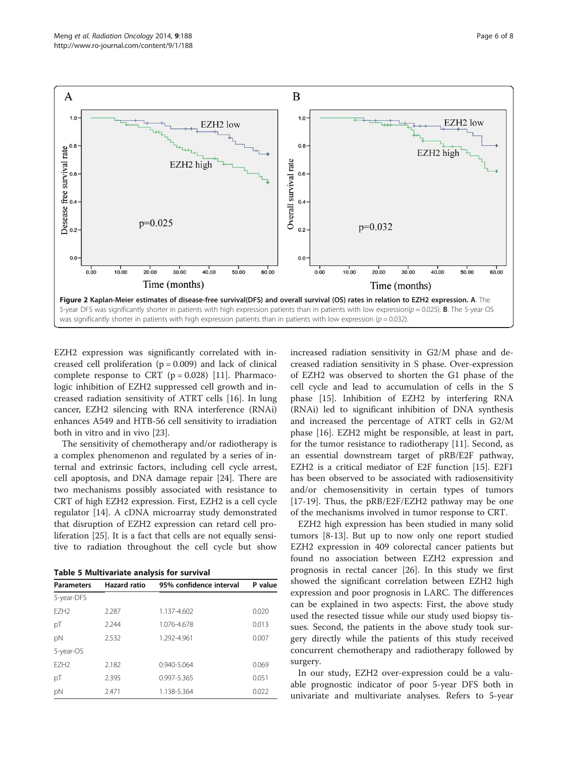<span id="page-5-0"></span>

EZH2 expression was significantly correlated with increased cell proliferation  $(p = 0.009)$  and lack of clinical complete response to CRT  $(p = 0.028)$  [\[11](#page-7-0)]. Pharmacologic inhibition of EZH2 suppressed cell growth and increased radiation sensitivity of ATRT cells [[16\]](#page-7-0). In lung cancer, EZH2 silencing with RNA interference (RNAi) enhances A549 and HTB-56 cell sensitivity to irradiation both in vitro and in vivo [[23\]](#page-7-0).

The sensitivity of chemotherapy and/or radiotherapy is a complex phenomenon and regulated by a series of internal and extrinsic factors, including cell cycle arrest, cell apoptosis, and DNA damage repair [[24](#page-7-0)]. There are two mechanisms possibly associated with resistance to CRT of high EZH2 expression. First, EZH2 is a cell cycle regulator [[14\]](#page-7-0). A cDNA microarray study demonstrated that disruption of EZH2 expression can retard cell proliferation [[25\]](#page-7-0). It is a fact that cells are not equally sensitive to radiation throughout the cell cycle but show

Table 5 Multivariate analysis for survival

| <b>Parameters</b> | <b>Hazard ratio</b> | 95% confidence interval | P value |
|-------------------|---------------------|-------------------------|---------|
| 5-year-DFS        |                     |                         |         |
| F7H <sub>2</sub>  | 2.287               | 1.137-4.602             | 0.020   |
| рT                | 2.244               | 1.076-4.678             | 0.013   |
| pN                | 2.532               | 1.292-4.961             | 0.007   |
| 5-year-OS         |                     |                         |         |
| F7H <sub>2</sub>  | 2.182               | $0.940 - 5.064$         | 0.069   |
| рT                | 2.395               | 0.997-5.365             | 0.051   |
| pN                | 2.471               | 1.138-5.364             | 0.022   |

increased radiation sensitivity in G2/M phase and decreased radiation sensitivity in S phase. Over-expression of EZH2 was observed to shorten the G1 phase of the cell cycle and lead to accumulation of cells in the S phase [[15\]](#page-7-0). Inhibition of EZH2 by interfering RNA (RNAi) led to significant inhibition of DNA synthesis and increased the percentage of ATRT cells in G2/M phase [[16\]](#page-7-0). EZH2 might be responsible, at least in part, for the tumor resistance to radiotherapy [[11\]](#page-7-0). Second, as an essential downstream target of pRB/E2F pathway, EZH2 is a critical mediator of E2F function [[15\]](#page-7-0). E2F1 has been observed to be associated with radiosensitivity and/or chemosensitivity in certain types of tumors [[17-19](#page-7-0)]. Thus, the pRB/E2F/EZH2 pathway may be one of the mechanisms involved in tumor response to CRT.

EZH2 high expression has been studied in many solid tumors [[8](#page-6-0)[-13\]](#page-7-0). But up to now only one report studied EZH2 expression in 409 colorectal cancer patients but found no association between EZH2 expression and prognosis in rectal cancer [\[26\]](#page-7-0). In this study we first showed the significant correlation between EZH2 high expression and poor prognosis in LARC. The differences can be explained in two aspects: First, the above study used the resected tissue while our study used biopsy tissues. Second, the patients in the above study took surgery directly while the patients of this study received concurrent chemotherapy and radiotherapy followed by surgery.

In our study, EZH2 over-expression could be a valuable prognostic indicator of poor 5-year DFS both in univariate and multivariate analyses. Refers to 5-year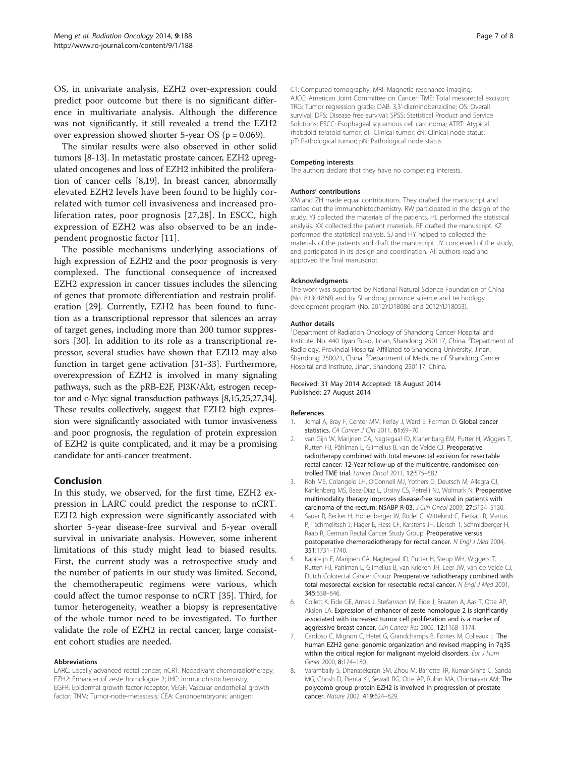<span id="page-6-0"></span>OS, in univariate analysis, EZH2 over-expression could predict poor outcome but there is no significant difference in multivariate analysis. Although the difference was not significantly, it still revealed a trend the EZH2 over expression showed shorter 5-year OS ( $p = 0.069$ ).

The similar results were also observed in other solid tumors [8-[13](#page-7-0)]. In metastatic prostate cancer, EZH2 upregulated oncogenes and loss of EZH2 inhibited the proliferation of cancer cells [8[,19\]](#page-7-0). In breast cancer, abnormally elevated EZH2 levels have been found to be highly correlated with tumor cell invasiveness and increased proliferation rates, poor prognosis [[27,28](#page-7-0)]. In ESCC, high expression of EZH2 was also observed to be an independent prognostic factor [\[11\]](#page-7-0).

The possible mechanisms underlying associations of high expression of EZH2 and the poor prognosis is very complexed. The functional consequence of increased EZH2 expression in cancer tissues includes the silencing of genes that promote differentiation and restrain proliferation [[29\]](#page-7-0). Currently, EZH2 has been found to function as a transcriptional repressor that silences an array of target genes, including more than 200 tumor suppressors [\[30\]](#page-7-0). In addition to its role as a transcriptional repressor, several studies have shown that EZH2 may also function in target gene activation [[31-33](#page-7-0)]. Furthermore, overexpression of EZH2 is involved in many signaling pathways, such as the pRB-E2F, PI3K/Akt, estrogen receptor and c-Myc signal transduction pathways [8,[15,25,27,34](#page-7-0)]. These results collectively, suggest that EZH2 high expression were significantly associated with tumor invasiveness and poor prognosis, the regulation of protein expression of EZH2 is quite complicated, and it may be a promising candidate for anti-cancer treatment.

#### Conclusion

In this study, we observed, for the first time, EZH2 expression in LARC could predict the response to nCRT. EZH2 high expression were significantly associated with shorter 5-year disease-free survival and 5-year overall survival in univariate analysis. However, some inherent limitations of this study might lead to biased results. First, the current study was a retrospective study and the number of patients in our study was limited. Second, the chemotherapeutic regimens were various, which could affect the tumor response to nCRT [\[35](#page-7-0)]. Third, for tumor heterogeneity, weather a biopsy is representative of the whole tumor need to be investigated. To further validate the role of EZH2 in rectal cancer, large consistent cohort studies are needed.

#### Abbreviations

LARC: Locally advanced rectal cancer; nCRT: Neoadjvant chemoradiotherapy; EZH2: Enhancer of zeste homologue 2; IHC: Immunohistochemistry; EGFR: Epidermal growth factor receptor; VEGF: Vascular endothelial growth factor; TNM: Tumor-node-metastasis; CEA: Carcinoembryonic antigen;

CT: Computed tomography; MRI: Magnetic resonance imaging; AJCC: American Joint Committee on Cancer; TME: Total mesorectal excision; TRG: Tumor regression grade; DAB: 3,3'-diaminobenzidine; OS: Overall survival; DFS: Disease free survival; SPSS: Statistical Product and Service Solutions; ESCC: Esophageal squamous cell carcinoma; ATRT: Atypical rhabdoid teratoid tumor; cT: Clinical tumor; cN: Clinical node status; pT: Pathological tumor; pN: Pathological node status.

#### Competing interests

The authors declare that they have no competing interests.

#### Authors' contributions

XM and ZH made equal contributions. They drafted the manuscript and carried out the immunohistochemistry. RW participated in the design of the study. YJ collected the materials of the patients. HL performed the statistical analysis. XX collected the patient materials. RF drafted the manuscript. KZ performed the statistical analysis. SJ and HY helped to collected the materials of the patients and draft the manuscript. JY conceived of the study, and participated in its design and coordination. All authors read and approved the final manuscript.

#### Acknowledgments

The work was supported by National Natural Science Foundation of China (No. 81301868) and by Shandong province science and technology development program (No. 2012YD18086 and 2012YD18053).

#### Author details

<sup>1</sup>Department of Radiation Oncology of Shandong Cancer Hospital and Institute, No. 440 Jiyan Road, Jinan, Shandong 250117, China. <sup>2</sup>Department of Radiology, Provincial Hospital Affiliated to Shandong University, Jinan, Shandong 250021, China. <sup>3</sup> Department of Medicine of Shandong Cancer Hospital and Institute, Jinan, Shandong 250117, China.

#### Received: 31 May 2014 Accepted: 18 August 2014 Published: 27 August 2014

#### References

- 1. Jemal A, Bray F, Center MM, Ferlay J, Ward E, Forman D: Global cancer statistics. CA Cancer J Clin 2011, 61:69-70.
- 2. van Gijn W, Marijnen CA, Nagtegaal ID, Kranenbarg EM, Putter H, Wiggers T, Rutten HJ, Påhlman L, Glimelius B, van de Velde CJ: Preoperative radiotherapy combined with total mesorectal excision for resectable rectal cancer: 12-Year follow-up of the multicentre, randomised controlled TME trial. Lancet Oncol 2011, 12:575–582.
- 3. Roh MS, Colangelo LH, O'Connell MJ, Yothers G, Deutsch M, Allegra CJ, Kahlenberg MS, Baez-Diaz L, Ursiny CS, Petrelli NJ, Wolmark N: Preoperative multimodality therapy improves disease-free survival in patients with carcinoma of the rectum: NSABP R-03. J Clin Oncol 2009, 27:5124–5130.
- 4. Sauer R, Becker H, Hohenberger W, Rödel C, Wittekind C, Fietkau R, Martus P, Tschmelitsch J, Hager E, Hess CF, Karstens JH, Liersch T, Schmidberger H, Raab R, German Rectal Cancer Study Group: Preoperative versus postoperative chemoradiotherapy for rectal cancer. N Engl J Med 2004, 351:1731–1740.
- 5. Kapiteijn E, Marijnen CA, Nagtegaal ID, Putter H, Steup WH, Wiggers T, Rutten HJ, Pahlman L, Glimelius B, van Krieken JH, Leer JW, van de Velde CJ, Dutch Colorectal Cancer Group: Preoperative radiotherapy combined with total mesorectal excision for resectable rectal cancer. N Engl J Med 2001, 345:638–646.
- 6. Collett K, Eide GE, Arnes J, Stefansson IM, Eide J, Braaten A, Aas T, Otte AP, Akslen LA: Expression of enhancer of zeste homologue 2 is significantly associated with increased tumor cell proliferation and is a marker of aggressive breast cancer. Clin Cancer Res 2006, 12:1168–1174.
- 7. Cardoso C, Mignon C, Hetet G, Grandchamps B, Fontes M, Colleaux L: The human EZH2 gene: genomic organization and revised mapping in 7q35 within the critical region for malignant myeloid disorders. Eur J Hum Genet 2000, 8:174–180.
- 8. Varambally S, Dhanasekaran SM, Zhou M, Barrette TR, Kumar-Sinha C, Sanda MG, Ghosh D, Pienta KJ, Sewalt RG, Otte AP, Rubin MA, Chinnaiyan AM: The polycomb group protein EZH2 is involved in progression of prostate cancer. Nature 2002, 419:624–629.